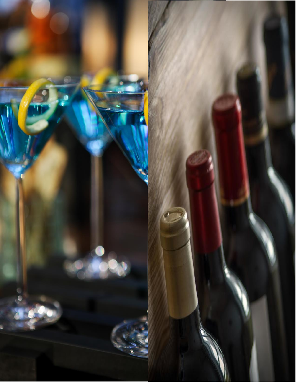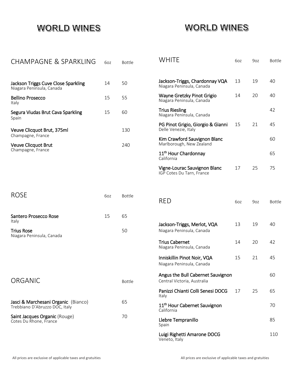### **WORLD WINES**

## **WORLD WINES**

| <b>CHAMPAGNE &amp; SPARKLING</b>                                      | 6oz | <b>Bottle</b> | <b>WHITE</b>                                                     | 6oz | 9oz | Bottle        |
|-----------------------------------------------------------------------|-----|---------------|------------------------------------------------------------------|-----|-----|---------------|
| Jackson Triggs Cuve Close Sparkling<br>Niagara Peninsula, Canada      | 14  | 50            | Jackson-Triggs, Chardonnay VQA<br>Niagara Peninsula, Canada      | 13  | 19  | 40            |
| <b>Bellino Prosecco</b><br>Italy                                      | 15  | 55            | Wayne Gretzky Pinot Grigio<br>Niagara Peninsula, Canada          | 14  | 20  | 40            |
| Segura Viudas Brut Cava Sparkling<br>Spain                            | 15  | 60            | <b>Trius Riesling</b><br>Niagara Peninsula, Canada               |     |     | 42            |
| Veuve Clicquot Brut, 375ml                                            |     | 130           | PG Pinot Grigio, Giorgio & Gianni<br>Delle Venezie, Italy        | 15  | 21  | 45            |
| Champagne, France<br><b>Veuve Clicquot Brut</b><br>Champagne, France  |     | 240           | Kim Crawford Sauvignon Blanc<br>Marlborough, New Zealand         |     |     | 60            |
|                                                                       |     |               | 11 <sup>th</sup> Hour Chardonnay<br>California                   |     |     | 65            |
|                                                                       |     |               | Vigne-Lourac Sauvignon Blanc<br>IGP Cotes Du Tarn, France        | 17  | 25  | 75            |
| <b>ROSE</b>                                                           | 6oz | <b>Bottle</b> | <b>RED</b>                                                       | 6oz | 9oz | <b>Bottle</b> |
| Santero Prosecco Rose<br>Italy                                        | 15  | 65            |                                                                  |     |     |               |
| <b>Trius Rose</b><br>Niagara Peninsula, Canada                        |     | 50            | Jackson-Triggs, Merlot, VQA<br>Niagara Peninsula, Canada         | 13  | 19  | 40            |
|                                                                       |     |               | <b>Trius Cabernet</b><br>Niagara Peninsula, Canada               | 14  | 20  | 42            |
|                                                                       |     |               | Inniskillin Pinot Noir, VQA<br>Niagara Peninsula, Canada         | 15  | 21  | 45            |
| ORGANIC                                                               |     | <b>Bottle</b> | Angus the Bull Cabernet Sauvignon<br>Central Victoria, Australia |     |     | 60            |
|                                                                       |     |               | Panizzi Chianti Colli Senesi DOCG<br>Italy                       | 17  | 25  | 65            |
| Jasci & Marchesani Organic (Bianco)<br>Trebbiano D'Abruzzo DOC, Italy |     | 65            | 11 <sup>th</sup> Hour Cabernet Sauvignon<br>California           |     |     | 70            |
| Saint Jacques Organic (Rouge)<br>Cotes Du Rhone, France               |     | 70            | Llebre Tempranillo<br>Spain                                      |     |     | 85            |
|                                                                       |     |               | Luigi Righetti Amarone DOCG<br>Veneto, Italy                     |     |     | 110           |